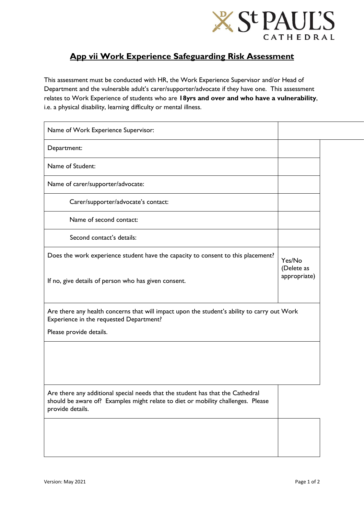

## **App vii Work Experience Safeguarding Risk Assessment**

This assessment must be conducted with HR, the Work Experience Supervisor and/or Head of Department and the vulnerable adult's carer/supporter/advocate if they have one. This assessment relates to Work Experience of students who are **18yrs and over and who have a vulnerability**, i.e. a physical disability, learning difficulty or mental illness.

| Name of Work Experience Supervisor:                                                                                                                                                    |                                      |  |
|----------------------------------------------------------------------------------------------------------------------------------------------------------------------------------------|--------------------------------------|--|
| Department:                                                                                                                                                                            |                                      |  |
| Name of Student:                                                                                                                                                                       |                                      |  |
| Name of carer/supporter/advocate:                                                                                                                                                      |                                      |  |
| Carer/supporter/advocate's contact:                                                                                                                                                    |                                      |  |
| Name of second contact:                                                                                                                                                                |                                      |  |
| Second contact's details:                                                                                                                                                              |                                      |  |
| Does the work experience student have the capacity to consent to this placement?<br>If no, give details of person who has given consent.                                               | Yes/No<br>(Delete as<br>appropriate) |  |
| Are there any health concerns that will impact upon the student's ability to carry out Work<br>Experience in the requested Department?<br>Please provide details.                      |                                      |  |
|                                                                                                                                                                                        |                                      |  |
| Are there any additional special needs that the student has that the Cathedral<br>should be aware of? Examples might relate to diet or mobility challenges. Please<br>provide details. |                                      |  |
|                                                                                                                                                                                        |                                      |  |